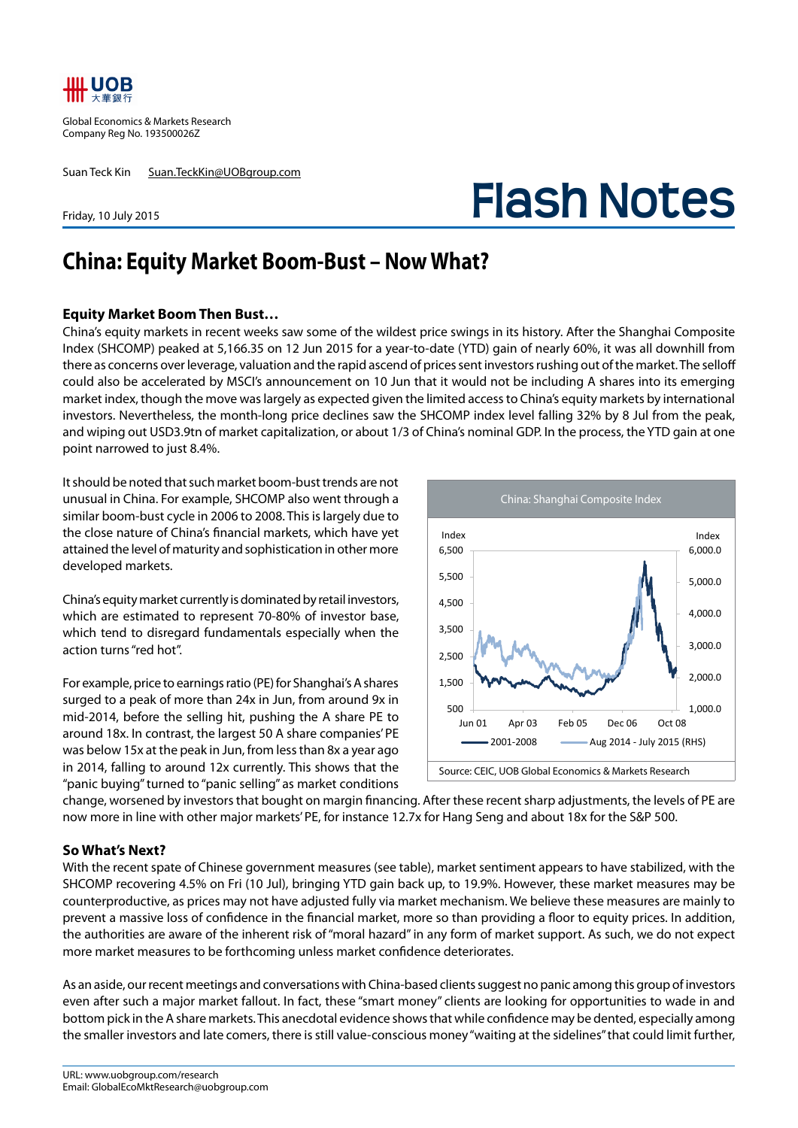

Global Economics & Markets Research Company Reg No. 193500026Z

Suan Teck Kin Suan.TeckKin@UOBgroup.com

Friday, 10 July 2015

## **Flash Notes**

## **China: Equity Market Boom-Bust – Now What?**

## **Equity Market Boom Then Bust…**

China's equity markets in recent weeks saw some of the wildest price swings in its history. After the Shanghai Composite Index (SHCOMP) peaked at 5,166.35 on 12 Jun 2015 for a year-to-date (YTD) gain of nearly 60%, it was all downhill from there as concerns over leverage, valuation and the rapid ascend of prices sent investors rushing out of the market. The selloff could also be accelerated by MSCI's announcement on 10 Jun that it would not be including A shares into its emerging market index, though the move was largely as expected given the limited access to China's equity markets by international investors. Nevertheless, the month-long price declines saw the SHCOMP index level falling 32% by 8 Jul from the peak, and wiping out USD3.9tn of market capitalization, or about 1/3 of China's nominal GDP. In the process, the YTD gain at one point narrowed to just 8.4%.

It should be noted that such market boom-bust trends are not unusual in China. For example, SHCOMP also went through a similar boom-bust cycle in 2006 to 2008. This is largely due to the close nature of China's financial markets, which have yet attained the level of maturity and sophistication in other more developed markets.

China's equity market currently is dominated by retail investors, which are estimated to represent 70-80% of investor base, which tend to disregard fundamentals especially when the action turns "red hot".

For example, price to earnings ratio (PE) for Shanghai's A shares surged to a peak of more than 24x in Jun, from around 9x in mid-2014, before the selling hit, pushing the A share PE to around 18x. In contrast, the largest 50 A share companies' PE was below 15x at the peak in Jun, from less than 8x a year ago in 2014, falling to around 12x currently. This shows that the "panic buying" turned to "panic selling" as market conditions



change, worsened by investors that bought on margin financing. After these recent sharp adjustments, the levels of PE are now more in line with other major markets' PE, for instance 12.7x for Hang Seng and about 18x for the S&P 500.

## **So What's Next?**

With the recent spate of Chinese government measures (see table), market sentiment appears to have stabilized, with the SHCOMP recovering 4.5% on Fri (10 Jul), bringing YTD gain back up, to 19.9%. However, these market measures may be counterproductive, as prices may not have adjusted fully via market mechanism. We believe these measures are mainly to prevent a massive loss of confidence in the financial market, more so than providing a floor to equity prices. In addition, the authorities are aware of the inherent risk of "moral hazard" in any form of market support. As such, we do not expect more market measures to be forthcoming unless market confidence deteriorates.

As an aside, our recent meetings and conversations with China-based clients suggest no panic among this group of investors even after such a major market fallout. In fact, these "smart money" clients are looking for opportunities to wade in and bottom pick in the A share markets. This anecdotal evidence shows that while confidence may be dented, especially among the smaller investors and late comers, there is still value-conscious money "waiting at the sidelines" that could limit further,